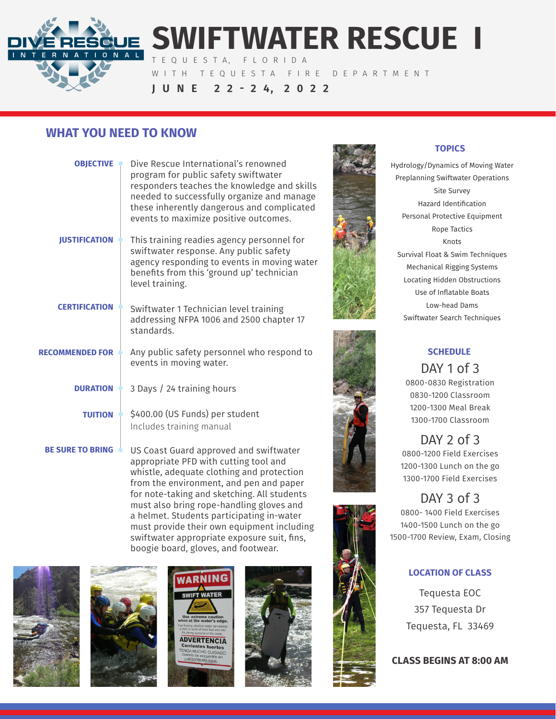

# **SWIFTWATER RESCUE I**

T E Q U E S T A, F L O R I D A

WITH TEQUESTA FIRE DEPARTMENT

**J U N E 2 2 - 2 4, 2 0 2 2**

## **WHAT YOU NEED TO KNOW**

| <b>OBJECTIVE</b>        | Dive Rescue International's renowned<br>program for public safety swiftwater<br>responders teaches the knowledge and skills<br>needed to successfully organize and manage<br>these inherently dangerous and complicated<br>events to maximize positive outcomes. |
|-------------------------|------------------------------------------------------------------------------------------------------------------------------------------------------------------------------------------------------------------------------------------------------------------|
| <b>JUSTIFICATION</b>    | This training readies agency personnel for<br>swiftwater response. Any public safety<br>agency responding to events in moving water<br>benefits from this 'ground up' technician<br>level training.                                                              |
| <b>CERTIFICATION</b>    | Swiftwater 1 Technician level training<br>addressing NFPA 1006 and 2500 chapter 17<br>standards.                                                                                                                                                                 |
| <b>RECOMMENDED FOR</b>  | Any public safety personnel who respond to<br>events in moving water.                                                                                                                                                                                            |
| <b>DURATION</b> •       | 3 Days / 24 training hours                                                                                                                                                                                                                                       |
| <b>TUITION</b>          | \$400.00 (US Funds) per student<br>Includes training manual                                                                                                                                                                                                      |
| <b>BE SURE TO BRING</b> | US Coast Guard approved and swiftwater<br>appropriate PFD with cutting tool and<br>whistle, adequate clothing and protection<br>from the environment, and pen and paper<br>for note-taking and sketching. All students                                           |



#### **TOPICS**

Hydrology/Dynamics of Moving Water Preplanning Swiftwater Operations Site Survey Hazard Identification Personal Protective Equipment Rope Tactics Knots Survival Float & Swim Techniques Mechanical Rigging Systems Locating Hidden Obstructions Use of Inflatable Boats Low-head Dams Swiftwater Search Techniques



## **SCHEDULE**

DAY 1 of 3 0800-0830 Registration 0830-1200 Classroom 1200-1300 Meal Break 1300-1700 Classroom

DAY 2 of 3 0800-1200 Field Exercises 1200-1300 Lunch on the go 1300-1700 Field Exercises

# DAY 3 of 3

0800- 1400 Field Exercises 1400-1500 Lunch on the go 1500-1700 Review, Exam, Closing

## **LOCATION OF CLASS**

Tequesta EOC 357 Tequesta Dr Tequesta, FL 33469

**CLASS BEGINS AT 8:00 AM**







must also bring rope-handling gloves and a helmet. Students participating in-water must provide their own equipment including swiftwater appropriate exposure suit, fins, boogie board, gloves, and footwear.